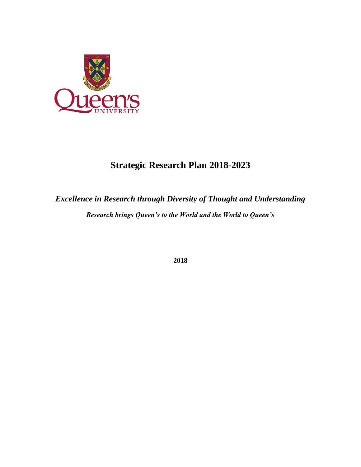

# **Strategic Research Plan 2018-2023**

# *Excellence in Research through Diversity of Thought and Understanding Research brings Queen's to the World and the World to Queen's*

**2018**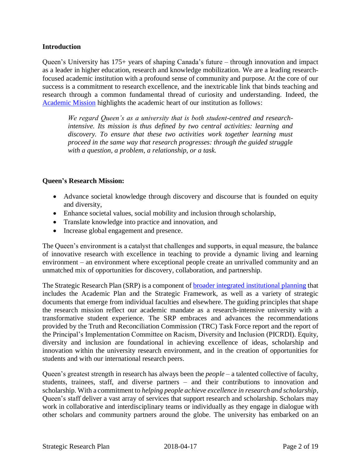#### **Introduction**

Queen's University has 175+ years of shaping Canada's future – through innovation and impact as a leader in higher education, research and knowledge mobilization. We are a leading researchfocused academic institution with a profound sense of community and purpose. At the core of our success is a commitment to research excellence, and the inextricable link that binds teaching and research through a common fundamental thread of curiosity and understanding. Indeed, the [Academic Mission](http://www.queensu.ca/strategicplanning/academic) highlights the academic heart of our institution as follows:

*We regard Queen's as a university that is both student-centred and researchintensive. Its mission is thus defined by two central activities: learning and discovery. To ensure that these two activities work together learning must proceed in the same way that research progresses: through the guided struggle with a question, a problem, a relationship, or a task.* 

#### **Queen's Research Mission:**

- Advance societal knowledge through discovery and discourse that is founded on equity and diversity,
- Enhance societal values, social mobility and inclusion through scholarship,
- Translate knowledge into practice and innovation, and
- Increase global engagement and presence.

The Queen's environment is a catalyst that challenges and supports, in equal measure, the balance of innovative research with excellence in teaching to provide a dynamic living and learning environment – an environment where exceptional people create an unrivalled community and an unmatched mix of opportunities for discovery, collaboration, and partnership.

The Strategic Research Plan (SRP) is a component of [broader integrated institutional planning t](http://www.queensu.ca/strategicplanning/academic)hat includes the Academic Plan and the Strategic Framework, as well as a variety of strategic documents that emerge from individual faculties and elsewhere. The guiding principles that shape the research mission reflect our academic mandate as a research-intensive university with a transformative student experience. The SRP embraces and advances the recommendations provided by the Truth and Reconciliation Commission (TRC) Task Force report and the report of the Principal's Implementation Committee on Racism, Diversity and Inclusion (PICRDI). Equity, diversity and inclusion are foundational in achieving excellence of ideas, scholarship and innovation within the university research environment, and in the creation of opportunities for students and with our international research peers.

Queen's greatest strength in research has always been the *people* – a talented collective of faculty, students, trainees, staff, and diverse partners – and their contributions to innovation and scholarship. With a commitment to *helping people achieve excellence in research and scholarship*, Queen's staff deliver a vast array of services that support research and scholarship. Scholars may work in collaborative and interdisciplinary teams or individually as they engage in dialogue with other scholars and community partners around the globe. The university has embarked on an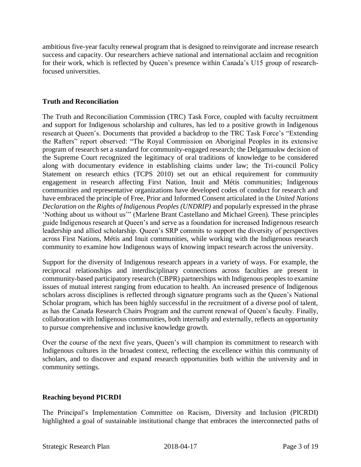ambitious five-year faculty renewal program that is designed to reinvigorate and increase research success and capacity. Our researchers achieve national and international acclaim and recognition for their work, which is reflected by Queen's presence within Canada's U15 group of researchfocused universities.

### **Truth and Reconciliation**

The Truth and Reconciliation Commission (TRC) Task Force, coupled with faculty recruitment and support for Indigenous scholarship and cultures, has led to a positive growth in Indigenous research at Queen's. Documents that provided a backdrop to the TRC Task Force's "Extending the Rafters" report observed: "The Royal Commission on Aboriginal Peoples in its extensive program of research set a standard for community-engaged research; the Delgamuukw decision of the Supreme Court recognized the legitimacy of oral traditions of knowledge to be considered along with documentary evidence in establishing claims under law; the Tri-council Policy Statement on research ethics (TCPS 2010) set out an ethical requirement for community engagement in research affecting First Nation, Inuit and Métis communities; Indigenous communities and representative organizations have developed codes of conduct for research and have embraced the principle of Free, Prior and Informed Consent articulated in the *United Nations Declaration on the Rights of Indigenous Peoples (UNDRIP)* and popularly expressed in the phrase 'Nothing about us without us'" (Marlene Brant Castellano and Michael Green). These principles guide Indigenous research at Queen's and serve as a foundation for increased Indigenous research leadership and allied scholarship. Queen's SRP commits to support the diversity of perspectives across First Nations, Métis and Inuit communities, while working with the Indigenous research community to examine how Indigenous ways of knowing impact research across the university.

Support for the diversity of Indigenous research appears in a variety of ways. For example, the reciprocal relationships and interdisciplinary connections across faculties are present in community-based participatory research (CBPR) partnerships with Indigenous peoples to examine issues of mutual interest ranging from education to health. An increased presence of Indigenous scholars across disciplines is reflected through signature programs such as the Queen's National Scholar program, which has been highly successful in the recruitment of a diverse pool of talent, as has the Canada Research Chairs Program and the current renewal of Queen's faculty. Finally, collaboration with Indigenous communities, both internally and externally, reflects an opportunity to pursue comprehensive and inclusive knowledge growth.

Over the course of the next five years, Queen's will champion its commitment to research with Indigenous cultures in the broadest context, reflecting the excellence within this community of scholars, and to discover and expand research opportunities both within the university and in community settings.

# **Reaching beyond PICRDI**

The Principal's Implementation Committee on Racism, Diversity and Inclusion (PICRDI) highlighted a goal of sustainable institutional change that embraces the interconnected paths of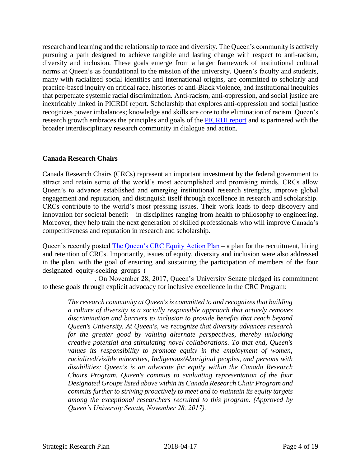research and learning and the relationship to race and diversity. The Queen's community is actively pursuing a path designed to achieve tangible and lasting change with respect to anti-racism, diversity and inclusion. These goals emerge from a larger framework of institutional cultural norms at Queen's as foundational to the mission of the university. Queen's faculty and students, many with racialized social identities and international origins, are committed to scholarly and practice-based inquiry on critical race, histories of anti-Black violence, and institutional inequities that perpetuate systemic racial discrimination. Anti-racism, anti-oppression, and social justice are inextricably linked in PICRDI report. Scholarship that explores anti-oppression and social justice recognizes power imbalances; knowledge and skills are core to the elimination of racism. Queen's research growth embraces the principles and goals of the [PICRDI report](http://www.queensu.ca/principal/prorities/committee-on-racism-diversity-inclusion) and is partnered with the broader interdisciplinary research community in dialogue and action.

# **Canada Research Chairs**

Canada Research Chairs (CRCs) represent an important investment by the federal government to attract and retain some of the world's most accomplished and promising minds. CRCs allow Queen's to advance established and emerging institutional research strengths, improve global engagement and reputation, and distinguish itself through excellence in research and scholarship. CRCs contribute to the world's most pressing issues. Their work leads to deep discovery and innovation for societal benefit – in disciplines ranging from health to philosophy to engineering. Moreover, they help train the next generation of skilled professionals who will improve Canada's competitiveness and reputation in research and scholarship.

Queen's recently posted [The Queen's CRC Equity Action Plan](http://www.queensu.ca/vpr/canada-research-chairs/canada-research-chair-equity-action-plan) – a plan for the recruitment, hiring and retention of CRCs. Importantly, issues of equity, diversity and inclusion were also addressed in the plan, with the goal of ensuring and sustaining the participation of members of the four designated equity-seeking groups (

. On November 28, 2017, Queen's University Senate pledged its commitment to these goals through explicit advocacy for inclusive excellence in the CRC Program:

*The research community at Queen's is committed to and recognizes that building a culture of diversity is a socially responsible approach that actively removes discrimination and barriers to inclusion to provide benefits that reach beyond Queen's University. At Queen's, we recognize that diversity advances research for the greater good by valuing alternate perspectives, thereby unlocking creative potential and stimulating novel collaborations. To that end, Queen's values its responsibility to promote equity in the employment of women, racialized/visible minorities, Indigenous/Aboriginal peoples, and persons with disabilities; Queen's is an advocate for equity within the Canada Research Chairs Program. Queen's commits to evaluating representation of the four Designated Groups listed above within its Canada Research Chair Program and commits further to striving proactively to meet and to maintain its equity targets among the exceptional researchers recruited to this program. (Approved by Queen's University Senate, November 28, 2017).*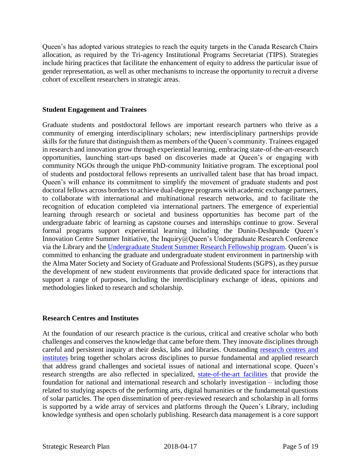Queen's has adopted various strategies to reach the equity targets in the Canada Research Chairs allocation, as required by the Tri-agency Institutional Programs Secretariat (TIPS). Strategies include hiring practices that facilitate the enhancement of equity to address the particular issue of gender representation, as well as other mechanisms to increase the opportunity to recruit a diverse cohort of excellent researchers in strategic areas.

#### **Student Engagement and Trainees**

Graduate students and postdoctoral fellows are important research partners who thrive as a community of emerging interdisciplinary scholars; new interdisciplinary partnerships provide skills for the future that distinguish them as members of the Queen's community. Trainees engaged in research and innovation grow through experiential learning, embracing state-of-the-art-research opportunities, launching start-ups based on discoveries made at Queen's or engaging with community NGOs through the unique PhD-community Initiative program. The exceptional pool of students and postdoctoral fellows represents an unrivalled talent base that has broad impact. Queen's will enhance its commitment to simplify the movement of graduate students and post doctoral fellows across borders to achieve dual-degree programs with academic exchange partners, to collaborate with international and multinational research networks, and to facilitate the recognition of education completed via international partners. The emergence of experiential learning through research or societal and business opportunities has become part of the undergraduate fabric of learning as capstone courses and internships continue to grow. Several formal programs support experiential learning including the Dunin-Deshpande Queen's Innovation Centre Summer Initiative, the Inquiry@Queen's Undergraduate Research Conference via the Library and the [Undergraduate Student Summer Research Fellowship program.](http://www.queensu.ca/urs/funding-sources/undergraduate-student-summer-research-fellowships-ussrf) Queen's is committed to enhancing the graduate and undergraduate student environment in partnership with the Alma Mater Society and Society of Graduate and Professional Students (SGPS), as they pursue the development of new student environments that provide dedicated space for interactions that support a range of purposes, including the interdisciplinary exchange of ideas, opinions and methodologies linked to research and scholarship.

#### **Research Centres and Institutes**

At the foundation of our research practice is the curious, critical and creative scholar who both challenges and conserves the knowledge that came before them. They innovate disciplines through careful and persistent inquiry at their desks, labs and libraries. Outstanding [research centres and](http://www.queensu.ca/secretariat/research-centresinstitutes)  [institutes](http://www.queensu.ca/secretariat/research-centresinstitutes) bring together scholars across disciplines to pursue fundamental and applied research that address grand challenges and societal issues of national and international scope. Queen's research strengths are also reflected in specialized, [state-of-the-art facilities](https://queensuca-my.sharepoint.com/Users/johnfisher/Documents/Admin/2017VPR/SRP/SRP2017/March_SRP_Versions/%5bhttp:/www.queensu.ca/vpr/centres-institutes/signature-facilities) that provide the foundation for national and international research and scholarly investigation – including those related to studying aspects of the performing arts, digital humanities or the fundamental questions of solar particles. The open dissemination of peer-reviewed research and scholarship in all forms is supported by a wide array of services and platforms through the Queen's Library, including knowledge synthesis and open scholarly publishing. Research data management is a core support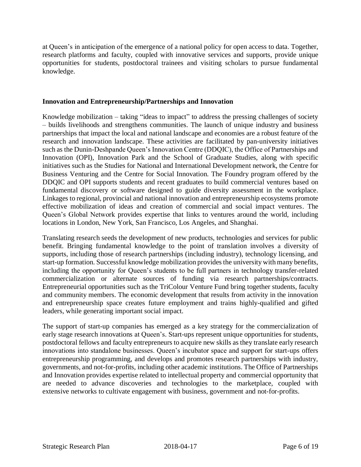at Queen's in anticipation of the emergence of a national policy for open access to data. Together, research platforms and faculty, coupled with innovative services and supports, provide unique opportunities for students, postdoctoral trainees and visiting scholars to pursue fundamental knowledge.

#### **Innovation and Entrepreneurship/Partnerships and Innovation**

Knowledge mobilization – taking "ideas to impact" to address the pressing challenges of society – builds livelihoods and strengthens communities. The launch of unique industry and business partnerships that impact the local and national landscape and economies are a robust feature of the research and innovation landscape. These activities are facilitated by pan-university initiatives such as the Dunin-Deshpande Queen's Innovation Centre (DDQIC), the Office of Partnerships and Innovation (OPI), Innovation Park and the School of Graduate Studies, along with specific initiatives such as the Studies for National and International Development network, the Centre for Business Venturing and the Centre for Social Innovation. The Foundry program offered by the DDQIC and OPI supports students and recent graduates to build commercial ventures based on fundamental discovery or software designed to guide diversity assessment in the workplace. Linkages to regional, provincial and national innovation and entrepreneurship ecosystems promote effective mobilization of ideas and creation of commercial and social impact ventures. The Queen's Global Network provides expertise that links to ventures around the world, including locations in London, New York, San Francisco, Los Angeles, and Shanghai.

Translating research seeds the development of new products, technologies and services for public benefit. Bringing fundamental knowledge to the point of translation involves a diversity of supports, including those of research partnerships (including industry), technology licensing, and start-up formation. Successful knowledge mobilization provides the university with many benefits, including the opportunity for Queen's students to be full partners in technology transfer-related commercialization or alternate sources of funding via research partnerships/contracts. Entrepreneurial opportunities such as the TriColour Venture Fund bring together students, faculty and community members. The economic development that results from activity in the innovation and entrepreneurship space creates future employment and trains highly-qualified and gifted leaders, while generating important social impact.

The support of start-up companies has emerged as a key strategy for the commercialization of early stage research innovations at Queen's. Start-ups represent unique opportunities for students, postdoctoral fellows and faculty entrepreneurs to acquire new skills as they translate early research innovations into standalone businesses. Queen's incubator space and support for start-ups offers entrepreneurship programming, and develops and promotes research partnerships with industry, governments, and not-for-profits, including other academic institutions. The Office of Partnerships and Innovation provides expertise related to intellectual property and commercial opportunity that are needed to advance discoveries and technologies to the marketplace, coupled with extensive networks to cultivate engagement with business, government and not-for-profits.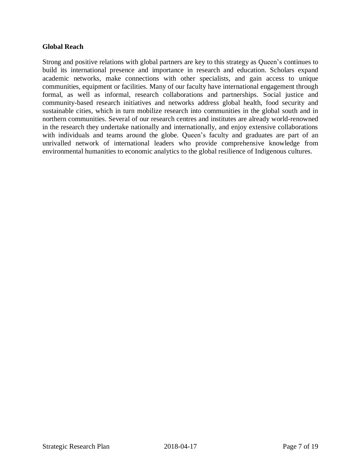#### **Global Reach**

Strong and positive relations with global partners are key to this strategy as Queen's continues to build its international presence and importance in research and education. Scholars expand academic networks, make connections with other specialists, and gain access to unique communities, equipment or facilities. Many of our faculty have international engagement through formal, as well as informal, research collaborations and partnerships. Social justice and community-based research initiatives and networks address global health, food security and sustainable cities, which in turn mobilize research into communities in the global south and in northern communities. Several of our research centres and institutes are already world-renowned in the research they undertake nationally and internationally, and enjoy extensive collaborations with individuals and teams around the globe. Queen's faculty and graduates are part of an unrivalled network of international leaders who provide comprehensive knowledge from environmental humanities to economic analytics to the global resilience of Indigenous cultures.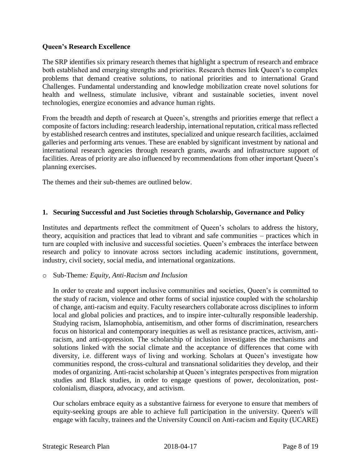### **Queen's Research Excellence**

The SRP identifies six primary research themes that highlight a spectrum of research and embrace both established and emerging strengths and priorities. Research themes link Queen's to complex problems that demand creative solutions, to national priorities and to international Grand Challenges. Fundamental understanding and knowledge mobilization create novel solutions for health and wellness, stimulate inclusive, vibrant and sustainable societies, invent novel technologies, energize economies and advance human rights.

From the breadth and depth of research at Queen's, strengths and priorities emerge that reflect a composite of factors including: research leadership, international reputation, critical mass reflected by established research centres and institutes, specialized and unique research facilities, acclaimed galleries and performing arts venues. These are enabled by significant investment by national and international research agencies through research grants, awards and infrastructure support of facilities. Areas of priority are also influenced by recommendations from other important Queen's planning exercises.

The themes and their sub-themes are outlined below.

# **1. Securing Successful and Just Societies through Scholarship, Governance and Policy**

Institutes and departments reflect the commitment of Queen's scholars to address the history, theory, acquisition and practices that lead to vibrant and safe communities – practices which in turn are coupled with inclusive and successful societies. Queen's embraces the interface between research and policy to innovate across sectors including academic institutions, government, industry, civil society, social media, and international organizations.

#### o Sub-Theme*: Equity, Anti-Racism and Inclusion*

In order to create and support inclusive communities and societies, Queen's is committed to the study of racism, violence and other forms of social injustice coupled with the scholarship of change, anti-racism and equity. Faculty researchers collaborate across disciplines to inform local and global policies and practices, and to inspire inter-culturally responsible leadership. Studying racism, Islamophobia, antisemitism, and other forms of discrimination, researchers focus on historical and contemporary inequities as well as resistance practices, activism, antiracism, and anti-oppression. The scholarship of inclusion investigates the mechanisms and solutions linked with the social climate and the acceptance of differences that come with diversity, i.e. different ways of living and working. Scholars at Queen's investigate how communities respond, the cross-cultural and transnational solidarities they develop, and their modes of organizing. Anti-racist scholarship at Queen's integrates perspectives from migration studies and Black studies, in order to engage questions of power, decolonization, postcolonialism, diaspora, advocacy, and activism.

Our scholars embrace equity as a substantive fairness for everyone to ensure that members of equity-seeking groups are able to achieve full participation in the university. Queen's will engage with faculty, trainees and the University Council on Anti-racism and Equity (UCARE)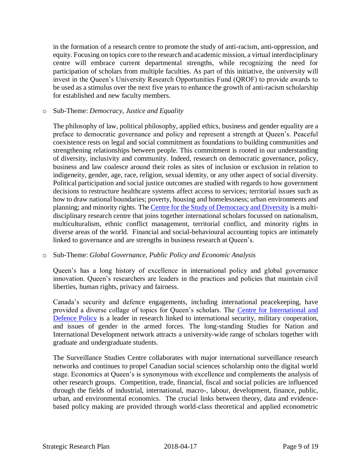in the formation of a research centre to promote the study of anti-racism, anti-oppression, and equity. Focusing on topics core to the research and academic mission, a virtual interdisciplinary centre will embrace current departmental strengths, while recognizing the need for participation of scholars from multiple faculties. As part of this initiative, the university will invest in the Queen's University Research Opportunities Fund (QROF) to provide awards to be used as a stimulus over the next five years to enhance the growth of anti-racism scholarship for established and new faculty members.

#### o Sub-Theme: *Democracy, Justice and Equality*

The philosophy of law, political philosophy, applied ethics, business and gender equality are a preface to democratic governance and policy and represent a strength at Queen's. Peaceful coexistence rests on legal and social commitment as foundations to building communities and strengthening relationships between people. This commitment is rooted in our understanding of diversity, inclusivity and community. Indeed, research on democratic governance, policy, business and law coalesce around their roles as sites of inclusion or exclusion in relation to indigeneity, gender, age, race, religion, sexual identity, or any other aspect of social diversity. Political participation and social justice outcomes are studied with regards to how government decisions to restructure healthcare systems affect access to services; territorial issues such as how to draw national boundaries; poverty, housing and homelessness; urban environments and planning; and minority rights. The [Centre for the Study of Democracy and Diversity](http://www.queensu.ca/csd/home) is a multidisciplinary research centre that joins together international scholars focussed on nationalism, multiculturalism, ethnic conflict management, territorial conflict, and minority rights in diverse areas of the world. Financial and social-behavioural accounting topics are intimately linked to governance and are strengths in business research at Queen's.

# o Sub-Theme: *Global Governance, Public Policy and Economic Analysis*

Queen's has a long history of excellence in international policy and global governance innovation. Queen's researchers are leaders in the practices and policies that maintain civil liberties, human rights, privacy and fairness.

Canada's security and defence engagements, including international peacekeeping, have provided a diverse collage of topics for Queen's scholars. The Centre for International and [Defence Policy](http://www.queensu.ca/cidp/home) is a leader in research linked to international security, military cooperation, and issues of gender in the armed forces. The long-standing Studies for Nation and International Development network attracts a university-wide range of scholars together with graduate and undergraduate students.

The Surveillance Studies Centre collaborates with major international surveillance research networks and continues to propel Canadian social sciences scholarship onto the digital world stage. Economics at Queen's is synonymous with excellence and complements the analysis of other research groups. Competition, trade, financial, fiscal and social policies are influenced through the fields of industrial, international, macro-, labour, development, finance, public, urban, and environmental economics. The crucial links between theory, data and evidencebased policy making are provided through world-class theoretical and applied econometric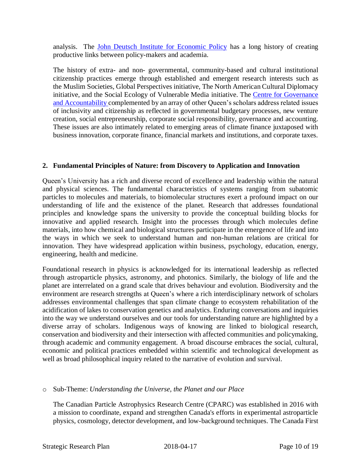analysis. The [John Deutsch Institute for Economic Policy](http://jdi.queensu.ca/) has a long history of creating productive links between policy-makers and academia.

The history of extra- and non- governmental, community-based and cultural institutional citizenship practices emerge through established and emergent research interests such as the Muslim Societies, Global Perspectives initiative, The North American Cultural Diplomacy initiative, and the Social Ecology of Vulnerable Media initiative. The [Centre for Governance](https://smith.queensu.ca/centres/centre-for-governance/index.php)  [and Accountability c](https://smith.queensu.ca/centres/centre-for-governance/index.php)omplemented by an array of other Queen's scholars address related issues of inclusivity and citizenship as reflected in governmental budgetary processes, new venture creation, social entrepreneurship, corporate social responsibility, governance and accounting. These issues are also intimately related to emerging areas of climate finance juxtaposed with business innovation, corporate finance, financial markets and institutions, and corporate taxes.

# **2. Fundamental Principles of Nature: from Discovery to Application and Innovation**

Queen's University has a rich and diverse record of excellence and leadership within the natural and physical sciences. The fundamental characteristics of systems ranging from subatomic particles to molecules and materials, to biomolecular structures exert a profound impact on our understanding of life and the existence of the planet. Research that addresses foundational principles and knowledge spans the university to provide the conceptual building blocks for innovative and applied research. Insight into the processes through which molecules define materials, into how chemical and biological structures participate in the emergence of life and into the ways in which we seek to understand human and non-human relations are critical for innovation. They have widespread application within business, psychology, education, energy, engineering, health and medicine.

Foundational research in physics is acknowledged for its international leadership as reflected through astroparticle physics, astronomy, and photonics. Similarly, the biology of life and the planet are interrelated on a grand scale that drives behaviour and evolution. Biodiversity and the environment are research strengths at Queen's where a rich interdisciplinary network of scholars addresses environmental challenges that span climate change to ecosystem rehabilitation of the acidification of lakes to conservation genetics and analytics. Enduring conversations and inquiries into the way we understand ourselves and our tools for understanding nature are highlighted by a diverse array of scholars. Indigenous ways of knowing are linked to biological research, conservation and biodiversity and their intersection with affected communities and policymaking, through academic and community engagement. A broad discourse embraces the social, cultural, economic and political practices embedded within scientific and technological development as well as broad philosophical inquiry related to the narrative of evolution and survival.

#### o Sub-Theme: *Understanding the Universe, the Planet and our Place*

The Canadian Particle Astrophysics Research Centre (CPARC) was established in 2016 with a mission to coordinate, expand and strengthen Canada's efforts in experimental astroparticle physics, cosmology, detector development, and low-background techniques. The Canada First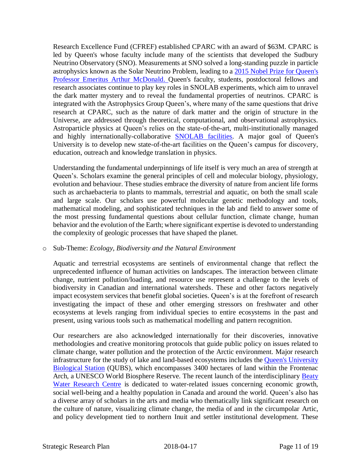Research Excellence Fund (CFREF) established CPARC with an award of \$63M. CPARC is led by Queen's whose faculty include many of the scientists that developed the Sudbury Neutrino Observatory (SNO). Measurements at SNO solved a long-standing puzzle in particle astrophysics known as the Solar Neutrino Problem, leading to a [2015 Nobel Prize for Queen's](https://www.nobelprize.org/nobel_prizes/physics/laureates/2015/mcdonald-facts.html)  [Professor Emeritus Arthur McDonald.](https://www.nobelprize.org/nobel_prizes/physics/laureates/2015/mcdonald-facts.html) Queen's faculty, students, postdoctoral fellows and research associates continue to play key roles in SNOLAB experiments, which aim to unravel the dark matter mystery and to reveal the fundamental properties of neutrinos. CPARC is integrated with the Astrophysics Group Queen's, where many of the same questions that drive research at CPARC, such as the nature of dark matter and the origin of structure in the Universe, are addressed through theoretical, computational, and observational astrophysics. Astroparticle physics at Queen's relies on the state-of-the-art, multi-institutionally managed and highly internationally-collaborative [SNOLAB facilities.](http://www.snolab.ca/) A major goal of Queen's University is to develop new state-of-the-art facilities on the Queen's campus for discovery, education, outreach and knowledge translation in physics.

Understanding the fundamental underpinnings of life itself is very much an area of strength at Queen's. Scholars examine the general principles of cell and molecular biology, physiology, evolution and behaviour. These studies embrace the diversity of nature from ancient life forms such as archaebacteria to plants to mammals, terrestrial and aquatic, on both the small scale and large scale. Our scholars use powerful molecular genetic methodology and tools, mathematical modeling, and sophisticated techniques in the lab and field to answer some of the most pressing fundamental questions about cellular function, climate change, human behavior and the evolution of the Earth; where significant expertise is devoted to understanding the complexity of geologic processes that have shaped the planet.

#### o Sub-Theme: *Ecology, Biodiversity and the Natural Environment*

Aquatic and terrestrial ecosystems are sentinels of environmental change that reflect the unprecedented influence of human activities on landscapes. The interaction between climate change, nutrient pollution/loading, and resource use represent a challenge to the levels of biodiversity in Canadian and international watersheds. These and other factors negatively impact ecosystem services that benefit global societies. Queen's is at the forefront of research investigating the impact of these and other emerging stressors on freshwater and other ecosystems at levels ranging from individual species to entire ecosystems in the past and present, using various tools such as mathematical modelling and pattern recognition.

Our researchers are also acknowledged internationally for their discoveries, innovative methodologies and creative monitoring protocols that guide public policy on issues related to climate change, water pollution and the protection of the Arctic environment. Major research infrastructure for the study of lake and land-based ecosystems includes the Queen's University [Biological Station](https://qubs.ca/) (QUBS), which encompasses 3400 hectares of land within the Frontenac Arch, a UNESCO World Biosphere Reserve. The recent launch of the interdisciplinary Beaty [Water Research Centre](http://www.waterresearchcentre.ca/) is dedicated to water-related issues concerning economic growth, social well-being and a healthy population in Canada and around the world. Queen's also has a diverse array of scholars in the arts and media who thematically link significant research on the culture of nature, visualizing climate change, the media of and in the circumpolar Artic, and policy development tied to northern Inuit and settler institutional development. These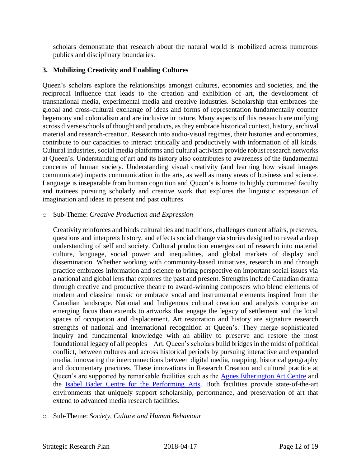scholars demonstrate that research about the natural world is mobilized across numerous publics and disciplinary boundaries.

# **3. Mobilizing Creativity and Enabling Cultures**

Queen's scholars explore the relationships amongst cultures, economies and societies, and the reciprocal influence that leads to the creation and exhibition of art, the development of transnational media, experimental media and creative industries. Scholarship that embraces the global and cross-cultural exchange of ideas and forms of representation fundamentally counter hegemony and colonialism and are inclusive in nature. Many aspects of this research are unifying across diverse schools of thought and products, as they embrace historical context, history, archival material and research-creation. Research into audio-visual regimes, their histories and economies, contribute to our capacities to interact critically and productively with information of all kinds. Cultural industries, social media platforms and cultural activism provide robust research networks at Queen's. Understanding of art and its history also contributes to awareness of the fundamental concerns of human society. Understanding visual creativity (and learning how visual images communicate) impacts communication in the arts, as well as many areas of business and science. Language is inseparable from human cognition and Queen's is home to highly committed faculty and trainees pursuing scholarly and creative work that explores the linguistic expression of imagination and ideas in present and past cultures.

#### o Sub-Theme: *Creative Production and Expression*

Creativity reinforces and binds cultural ties and traditions, challenges current affairs, preserves, questions and interprets history, and effects social change via stories designed to reveal a deep understanding of self and society. Cultural production emerges out of research into material culture, language, social power and inequalities, and global markets of display and dissemination. Whether working with community-based initiatives, research in and through practice embraces information and science to bring perspective on important social issues via a national and global lens that explores the past and present. Strengths include Canadian drama through creative and productive theatre to award-winning composers who blend elements of modern and classical music or embrace vocal and instrumental elements inspired from the Canadian landscape. National and Indigenous cultural creation and analysis comprise an emerging focus than extends to artworks that engage the legacy of settlement and the local spaces of occupation and displacement. Art restoration and history are signature research strengths of national and international recognition at Queen's. They merge sophisticated inquiry and fundamental knowledge with an ability to preserve and restore the most foundational legacy of all peoples – Art. Queen's scholars build bridges in the midst of political conflict, between cultures and across historical periods by pursuing interactive and expanded media, innovating the interconnections between digital media, mapping, historical geography and documentary practices. These innovations in Research Creation and cultural practice at Queen's are supported by remarkable facilities such as the [Agnes Etherington Art Centre](https://agnes.queensu.ca/) and the [Isabel Bader Centre for the Performing Arts.](http://www.queensu.ca/theisabel/) Both facilities provide state-of-the-art environments that uniquely support scholarship, performance, and preservation of art that extend to advanced media research facilities.

#### o Sub-Theme: *Society, Culture and Human Behaviour*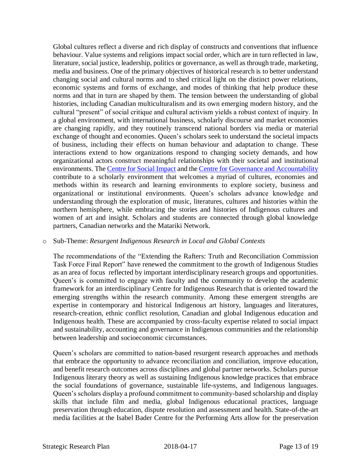Global cultures reflect a diverse and rich display of constructs and conventions that influence behaviour. Value systems and religions impact social order, which are in turn reflected in law, literature, social justice, leadership, politics or governance, as well as through trade, marketing, media and business. One of the primary objectives of historical research is to better understand changing social and cultural norms and to shed critical light on the distinct power relations, economic systems and forms of exchange, and modes of thinking that help produce these norms and that in turn are shaped by them. The tension between the understanding of global histories, including Canadian multiculturalism and its own emerging modern history, and the cultural "present" of social critique and cultural activism yields a robust context of inquiry. In a global environment, with international business, scholarly discourse and market economies are changing rapidly, and they routinely transcend national borders via media or material exchange of thought and economies. Queen's scholars seek to understand the societal impacts of business, including their effects on human behaviour and adaptation to change. These interactions extend to how organizations respond to changing society demands, and how organizational actors construct meaningful relationships with their societal and institutional environments. The [Centre for Social Impact a](https://smith.queensu.ca/centres/social-impact/index.php)nd th[e Centre for Governance and Accountability](https://smith.queensu.ca/centres/centre-for-governance/index.php) contribute to a scholarly environment that welcomes a myriad of cultures, economies and methods within its research and learning environments to explore society, business and organizational or institutional environments. Queen's scholars advance knowledge and understanding through the exploration of music, literatures, cultures and histories within the northern hemisphere, while embracing the stories and histories of Indigenous cultures and women of art and insight. Scholars and students are connected through global knowledge partners, Canadian networks and the Matariki Network.

#### o Sub-Theme: *Resurgent Indigenous Research in Local and Global Contexts*

The recommendations of the "Extending the Rafters: Truth and Reconciliation Commission Task Force Final Report" have renewed the commitment to the growth of Indigenous Studies as an area of focus reflected by important interdisciplinary research groups and opportunities. Queen's is committed to engage with faculty and the community to develop the academic framework for an interdisciplinary Centre for Indigenous Research that is oriented toward the emerging strengths within the research community. Among these emergent strengths are expertise in contemporary and historical Indigenous art history, languages and literatures, research-creation, ethnic conflict resolution, Canadian and global Indigenous education and Indigenous health. These are accompanied by cross-faculty expertise related to social impact and sustainability, accounting and governance in Indigenous communities and the relationship between leadership and socioeconomic circumstances.

Queen's scholars are committed to nation-based resurgent research approaches and methods that embrace the opportunity to advance reconciliation and conciliation, improve education, and benefit research outcomes across disciplines and global partner networks. Scholars pursue Indigenous literary theory as well as sustaining Indigenous knowledge practices that embrace the social foundations of governance, sustainable life-systems, and Indigenous languages. Queen's scholars display a profound commitment to community-based scholarship and display skills that include film and media, global Indigenous educational practices, language preservation through education, dispute resolution and assessment and health. State-of-the-art media facilities at the Isabel Bader Centre for the Performing Arts allow for the preservation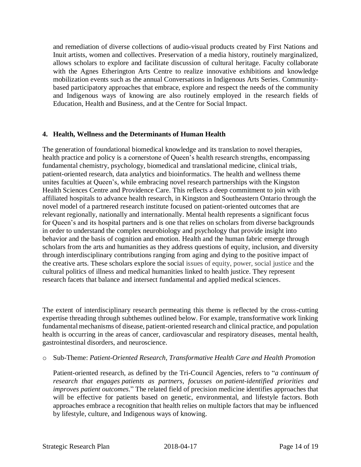and remediation of diverse collections of audio-visual products created by First Nations and Inuit artists, women and collectives. Preservation of a media history, routinely marginalized, allows scholars to explore and facilitate discussion of cultural heritage. Faculty collaborate with the Agnes Etherington Arts Centre to realize innovative exhibitions and knowledge mobilization events such as the annual Conversations in Indigenous Arts Series. Communitybased participatory approaches that embrace, explore and respect the needs of the community and Indigenous ways of knowing are also routinely employed in the research fields of Education, Health and Business, and at the Centre for Social Impact.

#### **4. Health, Wellness and the Determinants of Human Health**

The generation of foundational biomedical knowledge and its translation to novel therapies, health practice and policy is a cornerstone of Queen's health research strengths, encompassing fundamental chemistry, psychology, biomedical and translational medicine, clinical trials, patient-oriented research, data analytics and bioinformatics. The health and wellness theme unites faculties at Queen's, while embracing novel research partnerships with the Kingston Health Sciences Centre and Providence Care. This reflects a deep commitment to join with affiliated hospitals to advance health research, in Kingston and Southeastern Ontario through the novel model of a partnered research institute focused on patient-oriented outcomes that are relevant regionally, nationally and internationally. Mental health represents a significant focus for Queen's and its hospital partners and is one that relies on scholars from diverse backgrounds in order to understand the complex neurobiology and psychology that provide insight into behavior and the basis of cognition and emotion. Health and the human fabric emerge through scholars from the arts and humanities as they address questions of equity, inclusion, and diversity through interdisciplinary contributions ranging from aging and dying to the positive impact of the creative arts. These scholars explore the social issues of equity, power, social justice and the cultural politics of illness and medical humanities linked to health justice. They represent research facets that balance and intersect fundamental and applied medical sciences.

The extent of interdisciplinary research permeating this theme is reflected by the cross-cutting expertise threading through subthemes outlined below. For example, transformative work linking fundamental mechanisms of disease, patient-oriented research and clinical practice, and population health is occurring in the areas of cancer, cardiovascular and respiratory diseases, mental health, gastrointestinal disorders, and neuroscience.

#### o Sub-Theme: *Patient-Oriented Research, Transformative Health Care and Health Promotion*

Patient-oriented research, as defined by the Tri-Council Agencies, refers to "*a continuum of research that engages patients as partners, focusses on patient-identified priorities and improves patient outcomes.*" The related field of precision medicine identifies approaches that will be effective for patients based on genetic, environmental, and lifestyle factors. Both approaches embrace a recognition that health relies on multiple factors that may be influenced by lifestyle, culture, and Indigenous ways of knowing.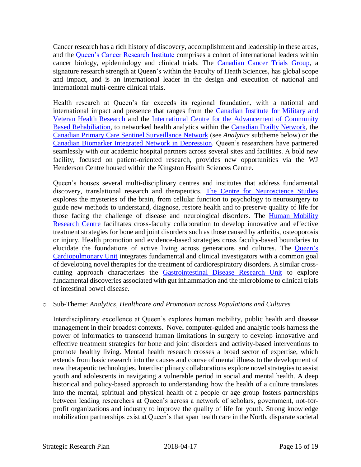Cancer research has a rich history of discovery, accomplishment and leadership in these areas, and the [Queen's Cancer Research Institute](http://qcri.queensu.ca/) comprises a cohort of international leaders within cancer biology, epidemiology and clinical trials. The [Canadian Cancer Trials Group,](https://www.ctg.queensu.ca/) a signature research strength at Queen's within the Faculty of Heath Sciences, has global scope and impact, and is an international leader in the design and execution of national and international multi-centre clinical trials.

Health research at Queen's far exceeds its regional foundation, with a national and international impact and presence that ranges from the [Canadian Institute for](https://cimvhr.ca/) Military and [Veteran Health Research](https://cimvhr.ca/) and the [International Centre for the Advancement](http://rehab.queensu.ca/icacbr) of Community [Based Rehabiliation,](http://rehab.queensu.ca/icacbr) to networked health analytics within the [Canadian Frailty Network,](http://www.cfn-nce.ca/) the [Canadian Primary Care Sentinel Surveillance Network](http://cpcssn.ca/) (see *Analytics* subtheme below) or the [Canadian Biomarker Integrated Network in Depression.](https://www.braincode.ca/content/canadian-biomarker-integration-network-depression-can-bind) Queen's researchers have partnered seamlessly with our academic hospital partners across several sites and facilities. A bold new facility, focused on patient-oriented research, provides new opportunities via the WJ Henderson Centre housed within the Kingston Health Sciences Centre.

Queen's houses several multi-disciplinary centres and institutes that address fundamental discovery, translational research and therapeutics. [The Centre for Neuroscience Studies](http://neuroscience.queensu.ca/) explores the mysteries of the brain, from cellular function to psychology to neurosurgery to guide new methods to understand, diagnose, restore health and to preserve quality of life for those facing the challenge of disease and neurological disorders. The [Human Mobility](http://www.queensu.ca/hmrc/)  [Research Centre](http://www.queensu.ca/hmrc/) facilitates cross-faculty collaboration to develop innovative and effective treatment strategies for bone and joint disorders such as those caused by arthritis, osteoporosis or injury. Health promotion and evidence-based strategies cross faculty-based boundaries to elucidate the foundations of active living across generations and cultures. The Queen's [Cardiopulmonary Unit](http://deptmed.queensu.ca/qcpu/qcpu_home) integrates fundamental and clinical investigators with a common goal of developing novel therapies for the treatment of cardiorespiratory disorders. A similar crosscutting approach characterizes the [Gastrointestinal Disease Research Unit](https://healthsci.queensu.ca/research/gidru) to explore fundamental discoveries associated with gut inflammation and the microbiome to clinical trials of intestinal bowel disease.

#### o Sub-Theme: *Analytics, Healthcare and Promotion across Populations and Cultures*

Interdisciplinary excellence at Queen's explores human mobility, public health and disease management in their broadest contexts. Novel computer-guided and analytic tools harness the power of informatics to transcend human limitations in surgery to develop innovative and effective treatment strategies for bone and joint disorders and activity-based interventions to promote healthy living. Mental health research crosses a broad sector of expertise, which extends from basic research into the causes and course of mental illness to the development of new therapeutic technologies. Interdisciplinary collaborations explore novel strategies to assist youth and adolescents in navigating a vulnerable period in social and mental health. A deep historical and policy-based approach to understanding how the health of a culture translates into the mental, spiritual and physical health of a people or age group fosters partnerships between leading researchers at Queen's across a network of scholars, government, not-forprofit organizations and industry to improve the quality of life for youth. Strong knowledge mobilization partnerships exist at Queen's that span health care in the North, disparate societal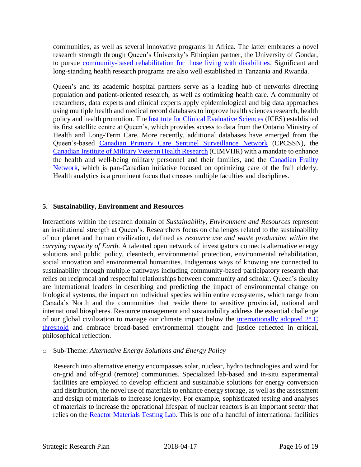communities, as well as several innovative programs in Africa. The latter embraces a novel research strength through Queen's University's Ethiopian partner, the University of Gondar, to pursue [community-based rehabilitation for those living with disabilities.](http://rehab.queensu.ca/icacbr) Significant and long-standing health research programs are also well established in Tanzania and Rwanda.

Queen's and its academic hospital partners serve as a leading hub of networks directing population and patient-oriented research, as well as optimizing health care. A community of researchers, data experts and clinical experts apply epidemiological and big data approaches using multiple health and medical record databases to improve health sciences research, health policy and health promotion. The [Institute for Clinical Evaluative Sciences](https://www.ices.on.ca/queens) (ICES) established its first satellite centre at Queen's, which provides access to data from the Ontario Ministry of Health and Long-Term Care. More recently, additional databases have emerged from the Queen's-based [Canadian Primary Care Sentinel Surveillance Network](http://cpcssn.ca/) (CPCSSN), the [Canadian Institute of Military Veteran Health Research](https://cimvhr.ca/) (CIMVHR) with a mandate to enhance the health and well-being military personnel and their families, and the [Canadian Frailty](http://www.cfn-nce.ca/)  [Network,](http://www.cfn-nce.ca/) which is pan-Canadian initiative focused on optimizing care of the frail elderly. Health analytics is a prominent focus that crosses multiple faculties and disciplines.

#### **5. Sustainability, Environment and Resources**

Interactions within the research domain of *Sustainability, Environment and Resources* represent an institutional strength at Queen's. Researchers focus on challenges related to the sustainability of our planet and human civilization, defined as *resource use and waste production within the carrying capacity of Earth*. A talented open network of investigators connects alternative energy solutions and public policy, cleantech, environmental protection, environmental rehabilitation, social innovation and environmental humanities. Indigenous ways of knowing are connected to sustainability through multiple pathways including community-based participatory research that relies on reciprocal and respectful relationships between community and scholar. Queen's faculty are international leaders in describing and predicting the impact of environmental change on biological systems, the impact on individual species within entire ecosystems, which range from Canada's North and the communities that reside there to sensitive provincial, national and international biospheres. Resource management and sustainability address the essential challenge of our global civilization to manage our climate impact below the internationally adopted  $2^{\circ}$  C [threshold](http://unfccc.int/paris_agreement/items/9485.php) and embrace broad-based environmental thought and justice reflected in critical, philosophical reflection.

#### o Sub-Theme: *Alternative Energy Solutions and Energy Policy*

Research into alternative energy encompasses solar, nuclear, hydro technologies and wind for on-grid and off-grid (remote) communities. Specialized lab-based and in-situ experimental facilities are employed to develop efficient and sustainable solutions for energy conversion and distribution, the novel use of materials to enhance energy storage, as well as the assessment and design of materials to increase longevity. For example, sophisticated testing and analyses of materials to increase the operational lifespan of nuclear reactors is an important sector that relies on the [Reactor Materials Testing Lab.](http://my.me.queensu.ca/Research/Nuclear/RMTL_outline.html) This is one of a handful of international facilities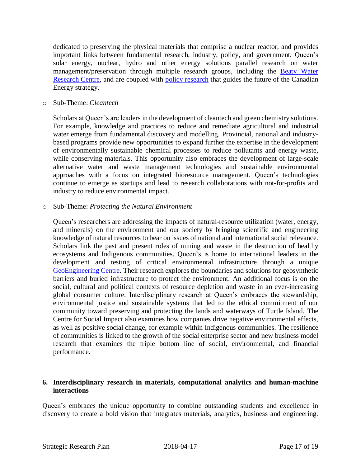dedicated to preserving the physical materials that comprise a nuclear reactor, and provides important links between fundamental research, industry, policy, and government. Queen's solar energy, nuclear, hydro and other energy solutions parallel research on water management/preservation through multiple research groups, including the [Beaty Water](http://www.waterresearchcentre.ca/) [Research](http://www.waterresearchcentre.ca/) Centre, and are coupled with [policy research](https://www.queensu.ca/gazette/stories/discussing-canada-s-energy-future) that guides the future of the Canadian Energy strategy.

o Sub-Theme: *Cleantech*

Scholars at Queen's are leaders in the development of cleantech and green chemistry solutions. For example, knowledge and practices to reduce and remediate agricultural and industrial water emerge from fundamental discovery and modelling. Provincial, national and industrybased programs provide new opportunities to expand further the expertise in the development of environmentally sustainable chemical processes to reduce pollutants and energy waste, while conserving materials. This opportunity also embraces the development of large-scale alternative water and waste management technologies and sustainable environmental approaches with a focus on integrated bioresource management. Queen's technologies continue to emerge as startups and lead to research collaborations with not-for-profits and industry to reduce environmental impact.

o Sub-Theme: *Protecting the Natural Environment*

Queen's researchers are addressing the impacts of natural-resource utilization (water, energy, and minerals) on the environment and our society by bringing scientific and engineering knowledge of natural resources to bear on issues of national and international social relevance. Scholars link the past and present roles of mining and waste in the destruction of healthy ecosystems and Indigenous communities. Queen's is home to international leaders in the development and testing of critical environmental infrastructure through a unique [GeoEngineering Centre.](http://www.geoeng.ca/) Their research explores the boundaries and solutions for geosynthetic barriers and buried infrastructure to protect the environment. An additional focus is on the social, cultural and political contexts of resource depletion and waste in an ever-increasing global consumer culture. Interdisciplinary research at Queen's embraces the stewardship, environmental justice and sustainable systems that led to the ethical commitment of our community toward preserving and protecting the lands and waterways of Turtle Island. The Centre for Social Impact also examines how companies drive negative environmental effects, as well as positive social change, for example within Indigenous communities. The resilience of communities is linked to the growth of the social enterprise sector and new business model research that examines the triple bottom line of social, environmental, and financial performance.

#### **6. Interdisciplinary research in materials, computational analytics and human-machine interactions**

Queen's embraces the unique opportunity to combine outstanding students and excellence in discovery to create a bold vision that integrates materials, analytics, business and engineering.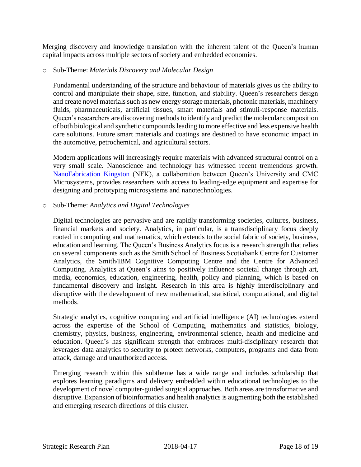Merging discovery and knowledge translation with the inherent talent of the Queen's human capital impacts across multiple sectors of society and embedded economies.

#### o Sub-Theme: *Materials Discovery and Molecular Design*

Fundamental understanding of the structure and behaviour of materials gives us the ability to control and manipulate their shape, size, function, and stability. Queen's researchers design and create novel materials such as new energy storage materials, photonic materials, machinery fluids, pharmaceuticals, artificial tissues, smart materials and stimuli-response materials. Queen's researchers are discovering methods to identify and predict the molecular composition of both biological and synthetic compounds leading to more effective and less expensive health care solutions. Future smart materials and coatings are destined to have economic impact in the automotive, petrochemical, and agricultural sectors.

Modern applications will increasingly require materials with advanced structural control on a very small scale. Nanoscience and technology has witnessed recent tremendous growth. [NanoFabrication Kingston](file:///C:/Users/shoemakk/SharePoint/VP%20Research%20-%20VPR%20Admin/Working%20Files/SRP%20Renewal%20Files/2018%20final%20Working%20drafts/nanofabkingston.ca/) (NFK), a collaboration between Queen's University and CMC Microsystems, provides researchers with access to leading-edge equipment and expertise for designing and prototyping microsystems and nanotechnologies.

#### o Sub-Theme: *Analytics and Digital Technologies*

Digital technologies are pervasive and are rapidly transforming societies, cultures, business, financial markets and society. Analytics, in particular, is a transdisciplinary focus deeply rooted in computing and mathematics, which extends to the social fabric of society, business, education and learning. The Queen's Business Analytics focus is a research strength that relies on several components such as the Smith School of Business Scotiabank Centre for Customer Analytics, the Smith/IBM Cognitive Computing Centre and the Centre for Advanced Computing. Analytics at Queen's aims to positively influence societal change through art, media, economics, education, engineering, health, policy and planning, which is based on fundamental discovery and insight. Research in this area is highly interdisciplinary and disruptive with the development of new mathematical, statistical, computational, and digital methods.

Strategic analytics, cognitive computing and artificial intelligence (AI) technologies extend across the expertise of the School of Computing, mathematics and statistics, biology, chemistry, physics, business, engineering, environmental science, health and medicine and education. Queen's has significant strength that embraces multi-disciplinary research that leverages data analytics to security to protect networks, computers, programs and data from attack, damage and unauthorized access.

Emerging research within this subtheme has a wide range and includes scholarship that explores learning paradigms and delivery embedded within educational technologies to the development of novel computer-guided surgical approaches. Both areas are transformative and disruptive. Expansion of bioinformatics and health analytics is augmenting both the established and emerging research directions of this cluster.